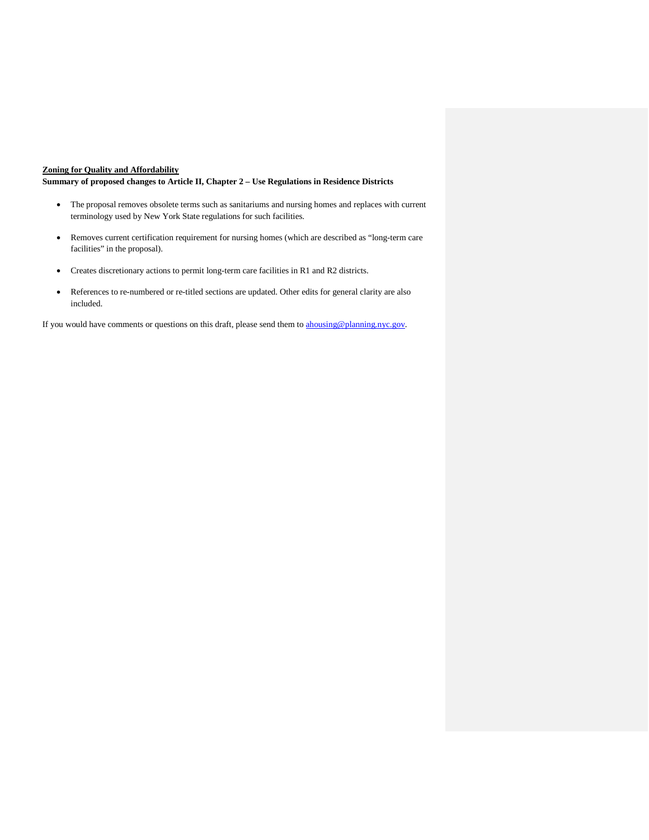## **Zoning for Quality and Affordability**

**Summary of proposed changes to Article II, Chapter 2 – Use Regulations in Residence Districts**

- The proposal removes obsolete terms such as sanitariums and nursing homes and replaces with current terminology used by New York State regulations for such facilities.
- Removes current certification requirement for nursing homes (which are described as "long-term care facilities" in the proposal).
- Creates discretionary actions to permit long-term care facilities in R1 and R2 districts.
- References to re-numbered or re-titled sections are updated. Other edits for general clarity are also included.

If you would have comments or questions on this draft, please send them to [ahousing@planning.nyc.gov.](mailto:ahousing@planning.nyc.gov)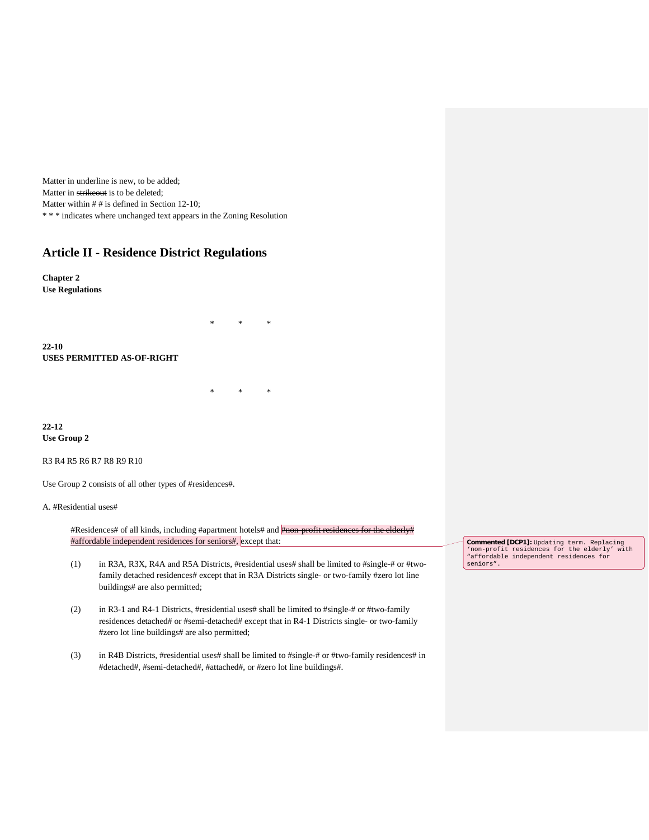Matter in underline is new, to be added; Matter in strikeout is to be deleted; Matter within  $#$  # is defined in Section 12-10; \* \* \* indicates where unchanged text appears in the Zoning Resolution

## **Article II - Residence District Regulations**

**Chapter 2 Use Regulations**

**22-10 USES PERMITTED AS-OF-RIGHT**

**22-12 Use Group 2**

R3 R4 R5 R6 R7 R8 R9 R10

Use Group 2 consists of all other types of #residences#.

## A. #Residential uses#

#Residences# of all kinds, including #apartment hotels# and **#non-profit residences for the elderly#** #affordable independent residences for seniors#, except that:

\* \* \*

\* \* \*

- (1) in R3A, R3X, R4A and R5A Districts, #residential uses# shall be limited to #single-# or #twofamily detached residences# except that in R3A Districts single- or two-family #zero lot line buildings# are also permitted;
- (2) in R3-1 and R4-1 Districts, #residential uses# shall be limited to #single-# or #two-family residences detached# or #semi-detached# except that in R4-1 Districts single- or two-family #zero lot line buildings# are also permitted;
- (3) in R4B Districts, #residential uses# shall be limited to #single-# or #two-family residences# in #detached#, #semi-detached#, #attached#, or #zero lot line buildings#.

**Commented [DCP1]:** Updating term. Replacing 'non-profit residences for the elderly' with "affordable independent residences for seniors".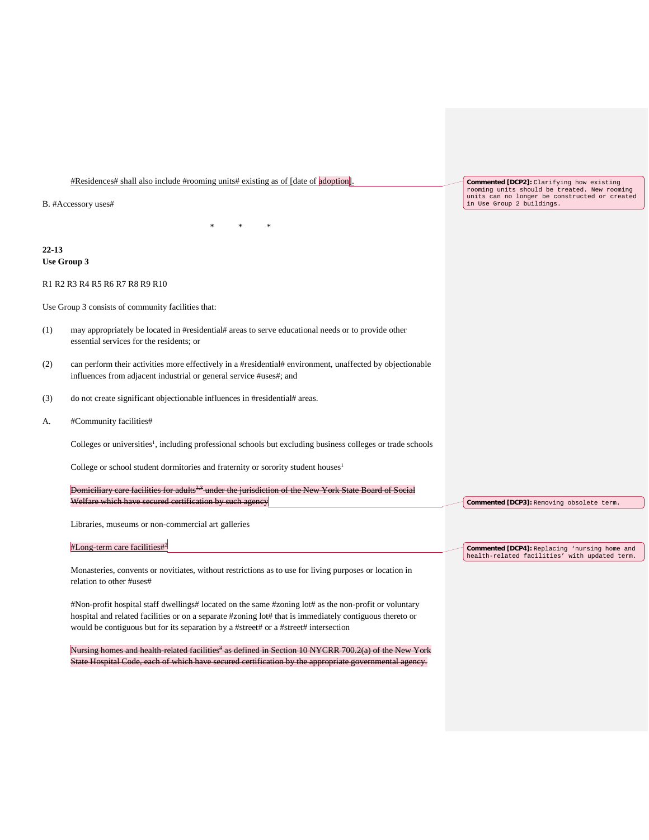#Residences# shall also include #rooming units# existing as of [date of adoption].

B. #Accessory uses#

**22-13 Use Group 3**

R1 R2 R3 R4 R5 R6 R7 R8 R9 R10

Use Group 3 consists of community facilities that:

- (1) may appropriately be located in #residential# areas to serve educational needs or to provide other essential services for the residents; or
- (2) can perform their activities more effectively in a #residential# environment, unaffected by objectionable influences from adjacent industrial or general service #uses#; and

\* \* \*

- (3) do not create significant objectionable influences in #residential# areas.
- A. #Community facilities#

Colleges or universities<sup>1</sup>, including professional schools but excluding business colleges or trade schools

College or school student dormitories and fraternity or sorority student houses<sup>1</sup>

Domiciliary care facilities for adults<sup>2,3</sup> under the jurisdiction of the New York State Board of Social Welfare which have secured certification by such agene

Libraries, museums or non-commercial art galleries

#Long-term care facilities#2

Monasteries, convents or novitiates, without restrictions as to use for living purposes or location in relation to other #uses#

#Non-profit hospital staff dwellings# located on the same #zoning lot# as the non-profit or voluntary hospital and related facilities or on a separate #zoning lot# that is immediately contiguous thereto or would be contiguous but for its separation by a #street# or a #street# intersection

 $\frac{1}{10}$  homes and health-related facilities<sup>3</sup> as defined in Section 10 NYCRR 700.2(a) of the New State Hospital Code, each of which have secured certification by the appropriate governmental agency. **Commented [DCP2]:** Clarifying how existing rooming units should be treated. New rooming units can no longer be constructed or created in Use Group 2 buildings.

**Commented [DCP3]:** Removing obsolete term.

**Commented [DCP4]:** Replacing 'nursing home and health-related facilities' with updated term.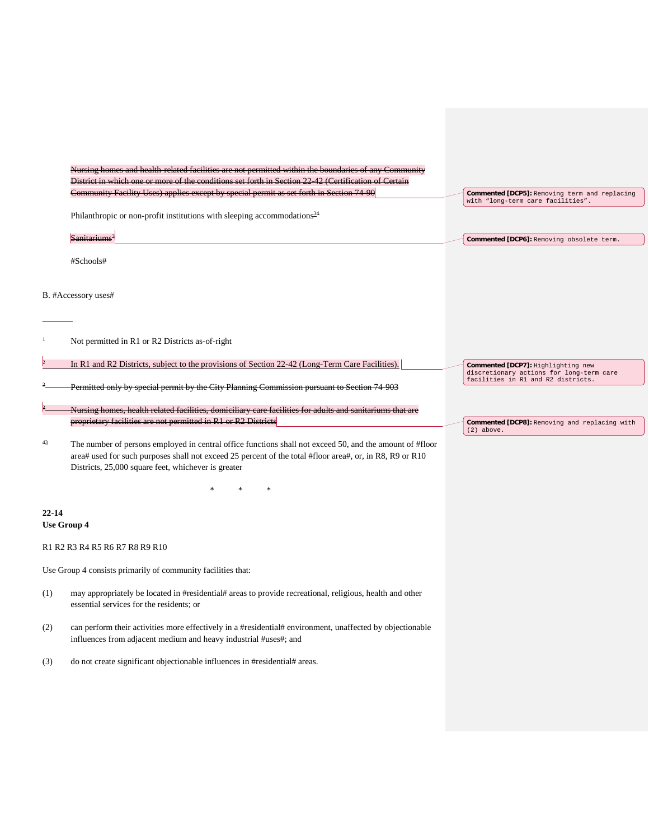| Nursing homes and health related facilities are not permitted within the boundaries of any Community<br>District in which one or more of the conditions set forth in Section 22 42 (Certification of Certain<br>Community Facility Uses) applies except by special permit as set forth in Section 74-90<br>Commented [DCP5]: Removing term and replacing<br>with "long-term care facilities".<br>Philanthropic or non-profit institutions with sleeping accommodations $34$<br>Sanitariums <sup>3</sup><br>Commented [DCP6]: Removing obsolete term.<br>#Schools#<br>B. #Accessory uses#<br>Not permitted in R1 or R2 Districts as-of-right<br>In R1 and R2 Districts, subject to the provisions of Section 22-42 (Long-Term Care Facilities).<br>Commented [DCP7]: Highlighting new<br>discretionary actions for long-term care<br>facilities in R1 and R2 districts.<br>Permitted only by special permit by the City Planning Commission pursuant to Section 74 903<br>Nursing homes, health related facilities, domiciliary care facilities for adults and sanitariums that are<br>proprietary facilities are not permitted in R1 or R2 Districts<br>Commented [DCP8]: Removing and replacing with<br>$(2)$ above.<br>43<br>The number of persons employed in central office functions shall not exceed 50, and the amount of #floor<br>area# used for such purposes shall not exceed 25 percent of the total #floor area#, or, in R8, R9 or R10<br>Districts, 25,000 square feet, whichever is greater<br>$22 - 14$<br><b>Use Group 4</b><br>R1 R2 R3 R4 R5 R6 R7 R8 R9 R10<br>Use Group 4 consists primarily of community facilities that: |  |  |
|-------------------------------------------------------------------------------------------------------------------------------------------------------------------------------------------------------------------------------------------------------------------------------------------------------------------------------------------------------------------------------------------------------------------------------------------------------------------------------------------------------------------------------------------------------------------------------------------------------------------------------------------------------------------------------------------------------------------------------------------------------------------------------------------------------------------------------------------------------------------------------------------------------------------------------------------------------------------------------------------------------------------------------------------------------------------------------------------------------------------------------------------------------------------------------------------------------------------------------------------------------------------------------------------------------------------------------------------------------------------------------------------------------------------------------------------------------------------------------------------------------------------------------------------------------------------------------------------------------------------------------------------------|--|--|
|                                                                                                                                                                                                                                                                                                                                                                                                                                                                                                                                                                                                                                                                                                                                                                                                                                                                                                                                                                                                                                                                                                                                                                                                                                                                                                                                                                                                                                                                                                                                                                                                                                                 |  |  |
|                                                                                                                                                                                                                                                                                                                                                                                                                                                                                                                                                                                                                                                                                                                                                                                                                                                                                                                                                                                                                                                                                                                                                                                                                                                                                                                                                                                                                                                                                                                                                                                                                                                 |  |  |
|                                                                                                                                                                                                                                                                                                                                                                                                                                                                                                                                                                                                                                                                                                                                                                                                                                                                                                                                                                                                                                                                                                                                                                                                                                                                                                                                                                                                                                                                                                                                                                                                                                                 |  |  |
|                                                                                                                                                                                                                                                                                                                                                                                                                                                                                                                                                                                                                                                                                                                                                                                                                                                                                                                                                                                                                                                                                                                                                                                                                                                                                                                                                                                                                                                                                                                                                                                                                                                 |  |  |
|                                                                                                                                                                                                                                                                                                                                                                                                                                                                                                                                                                                                                                                                                                                                                                                                                                                                                                                                                                                                                                                                                                                                                                                                                                                                                                                                                                                                                                                                                                                                                                                                                                                 |  |  |
|                                                                                                                                                                                                                                                                                                                                                                                                                                                                                                                                                                                                                                                                                                                                                                                                                                                                                                                                                                                                                                                                                                                                                                                                                                                                                                                                                                                                                                                                                                                                                                                                                                                 |  |  |
|                                                                                                                                                                                                                                                                                                                                                                                                                                                                                                                                                                                                                                                                                                                                                                                                                                                                                                                                                                                                                                                                                                                                                                                                                                                                                                                                                                                                                                                                                                                                                                                                                                                 |  |  |
|                                                                                                                                                                                                                                                                                                                                                                                                                                                                                                                                                                                                                                                                                                                                                                                                                                                                                                                                                                                                                                                                                                                                                                                                                                                                                                                                                                                                                                                                                                                                                                                                                                                 |  |  |
|                                                                                                                                                                                                                                                                                                                                                                                                                                                                                                                                                                                                                                                                                                                                                                                                                                                                                                                                                                                                                                                                                                                                                                                                                                                                                                                                                                                                                                                                                                                                                                                                                                                 |  |  |
|                                                                                                                                                                                                                                                                                                                                                                                                                                                                                                                                                                                                                                                                                                                                                                                                                                                                                                                                                                                                                                                                                                                                                                                                                                                                                                                                                                                                                                                                                                                                                                                                                                                 |  |  |
|                                                                                                                                                                                                                                                                                                                                                                                                                                                                                                                                                                                                                                                                                                                                                                                                                                                                                                                                                                                                                                                                                                                                                                                                                                                                                                                                                                                                                                                                                                                                                                                                                                                 |  |  |
|                                                                                                                                                                                                                                                                                                                                                                                                                                                                                                                                                                                                                                                                                                                                                                                                                                                                                                                                                                                                                                                                                                                                                                                                                                                                                                                                                                                                                                                                                                                                                                                                                                                 |  |  |
|                                                                                                                                                                                                                                                                                                                                                                                                                                                                                                                                                                                                                                                                                                                                                                                                                                                                                                                                                                                                                                                                                                                                                                                                                                                                                                                                                                                                                                                                                                                                                                                                                                                 |  |  |
|                                                                                                                                                                                                                                                                                                                                                                                                                                                                                                                                                                                                                                                                                                                                                                                                                                                                                                                                                                                                                                                                                                                                                                                                                                                                                                                                                                                                                                                                                                                                                                                                                                                 |  |  |
|                                                                                                                                                                                                                                                                                                                                                                                                                                                                                                                                                                                                                                                                                                                                                                                                                                                                                                                                                                                                                                                                                                                                                                                                                                                                                                                                                                                                                                                                                                                                                                                                                                                 |  |  |
|                                                                                                                                                                                                                                                                                                                                                                                                                                                                                                                                                                                                                                                                                                                                                                                                                                                                                                                                                                                                                                                                                                                                                                                                                                                                                                                                                                                                                                                                                                                                                                                                                                                 |  |  |
|                                                                                                                                                                                                                                                                                                                                                                                                                                                                                                                                                                                                                                                                                                                                                                                                                                                                                                                                                                                                                                                                                                                                                                                                                                                                                                                                                                                                                                                                                                                                                                                                                                                 |  |  |
|                                                                                                                                                                                                                                                                                                                                                                                                                                                                                                                                                                                                                                                                                                                                                                                                                                                                                                                                                                                                                                                                                                                                                                                                                                                                                                                                                                                                                                                                                                                                                                                                                                                 |  |  |
|                                                                                                                                                                                                                                                                                                                                                                                                                                                                                                                                                                                                                                                                                                                                                                                                                                                                                                                                                                                                                                                                                                                                                                                                                                                                                                                                                                                                                                                                                                                                                                                                                                                 |  |  |
| may appropriately be located in #residential# areas to provide recreational, religious, health and other<br>(1)<br>essential services for the residents; or                                                                                                                                                                                                                                                                                                                                                                                                                                                                                                                                                                                                                                                                                                                                                                                                                                                                                                                                                                                                                                                                                                                                                                                                                                                                                                                                                                                                                                                                                     |  |  |
| can perform their activities more effectively in a #residential# environment, unaffected by objectionable<br>(2)<br>influences from adjacent medium and heavy industrial #uses#; and                                                                                                                                                                                                                                                                                                                                                                                                                                                                                                                                                                                                                                                                                                                                                                                                                                                                                                                                                                                                                                                                                                                                                                                                                                                                                                                                                                                                                                                            |  |  |
| do not create significant objectionable influences in #residential# areas.<br>(3)                                                                                                                                                                                                                                                                                                                                                                                                                                                                                                                                                                                                                                                                                                                                                                                                                                                                                                                                                                                                                                                                                                                                                                                                                                                                                                                                                                                                                                                                                                                                                               |  |  |
|                                                                                                                                                                                                                                                                                                                                                                                                                                                                                                                                                                                                                                                                                                                                                                                                                                                                                                                                                                                                                                                                                                                                                                                                                                                                                                                                                                                                                                                                                                                                                                                                                                                 |  |  |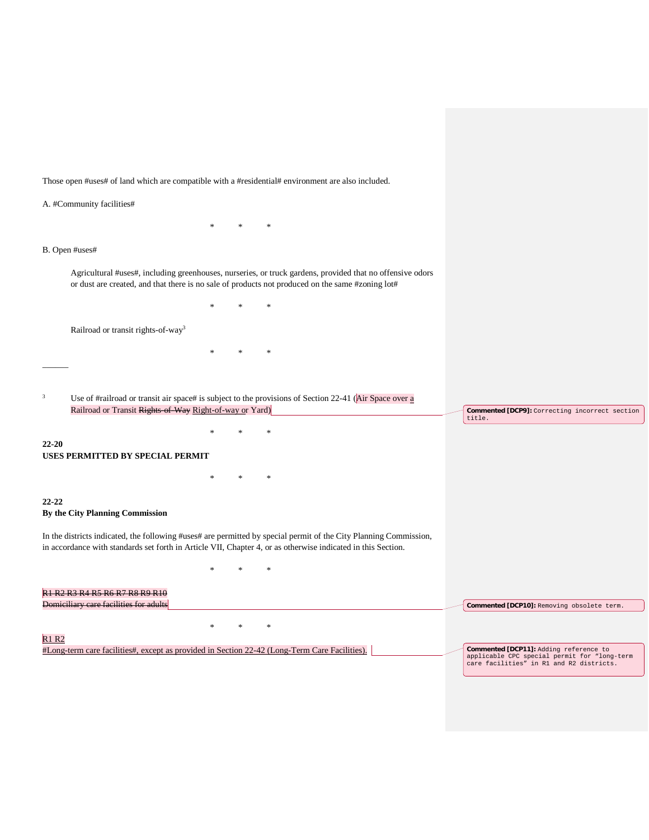Those open #uses# of land which are compatible with a #residential# environment are also included.

A. #Community facilities#

|              | B. Open #uses#                                                                                                                                                                                                |        |                                                |        |                                                                                                                   |                                                                                          |
|--------------|---------------------------------------------------------------------------------------------------------------------------------------------------------------------------------------------------------------|--------|------------------------------------------------|--------|-------------------------------------------------------------------------------------------------------------------|------------------------------------------------------------------------------------------|
|              | Agricultural #uses#, including greenhouses, nurseries, or truck gardens, provided that no offensive odors<br>or dust are created, and that there is no sale of products not produced on the same #zoning lot# |        |                                                |        |                                                                                                                   |                                                                                          |
|              |                                                                                                                                                                                                               |        |                                                |        |                                                                                                                   |                                                                                          |
|              | Railroad or transit rights-of-way <sup>3</sup>                                                                                                                                                                |        |                                                |        |                                                                                                                   |                                                                                          |
|              |                                                                                                                                                                                                               |        |                                                | $\ast$ |                                                                                                                   |                                                                                          |
|              |                                                                                                                                                                                                               |        |                                                |        |                                                                                                                   |                                                                                          |
| 3            | Use of #railroad or transit air space# is subject to the provisions of Section 22-41 (Air Space over $\underline{a}$<br>Railroad or Transit Rights of Way Right-of-way or Yard)                               |        | Commented [DCP9]: Correcting incorrect section |        |                                                                                                                   |                                                                                          |
|              |                                                                                                                                                                                                               | $\ast$ |                                                |        |                                                                                                                   | title.                                                                                   |
| 22-20        | <b>USES PERMITTED BY SPECIAL PERMIT</b>                                                                                                                                                                       |        |                                                |        |                                                                                                                   |                                                                                          |
|              |                                                                                                                                                                                                               | $\ast$ |                                                | $\ast$ |                                                                                                                   |                                                                                          |
| $22 - 22$    | By the City Planning Commission                                                                                                                                                                               |        |                                                |        |                                                                                                                   |                                                                                          |
|              | in accordance with standards set forth in Article VII, Chapter 4, or as otherwise indicated in this Section.                                                                                                  |        |                                                |        | In the districts indicated, the following #uses# are permitted by special permit of the City Planning Commission, |                                                                                          |
|              |                                                                                                                                                                                                               |        |                                                | $\ast$ |                                                                                                                   |                                                                                          |
|              | <b>R1 R2 R3 R4 R5 R6 R7 R8 R9 R10</b>                                                                                                                                                                         |        |                                                |        |                                                                                                                   |                                                                                          |
|              | Domiciliary care facilities for adults                                                                                                                                                                        |        |                                                |        |                                                                                                                   | Commented [DCP10]: Removing obsolete term.                                               |
|              |                                                                                                                                                                                                               | ×.     | $\ast$                                         | $\ast$ |                                                                                                                   |                                                                                          |
| <b>R1 R2</b> |                                                                                                                                                                                                               |        |                                                |        |                                                                                                                   |                                                                                          |
|              | #Long-term care facilities#, except as provided in Section 22-42 (Long-Term Care Facilities).                                                                                                                 |        |                                                |        |                                                                                                                   | Commented [DCP11]: Adding reference to                                                   |
|              |                                                                                                                                                                                                               |        |                                                |        |                                                                                                                   | applicable CPC special permit for "long-term<br>care facilities" in R1 and R2 districts. |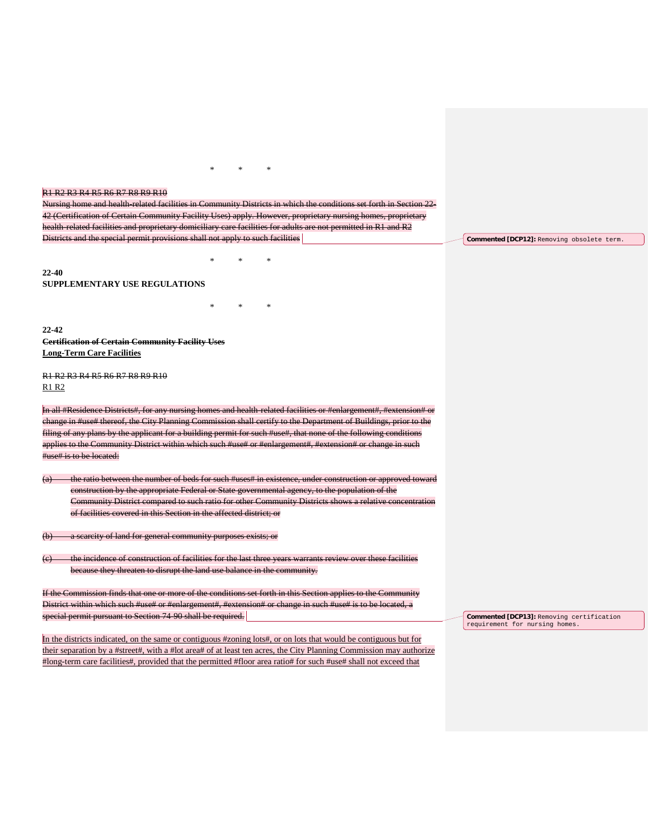## R1 R2 R3 R4 R5 R6 R7 R8 R9 R10

Nursing home and health-related facilities in Community Districts in which the conditions set forth in Section 22- 42 (Certification of Certain Community Facility Uses) apply. However, proprietary nursing homes, proprietary health-related facilities and proprietary domiciliary care facilities for adults are not permitted in R1 and R2 Districts and the special permit provisions shall not apply to such facilities

\* \* \*

\* \* \*

 $*$ 

**22-40 SUPPLEMENTARY USE REGULATIONS**

**22-42 Certification of Certain Community Facility Uses Long-Term Care Facilities**

R1 R2 R3 R4 R5 R6 R7 R8 R9 R10 R1 R2

In all #Residence Districts#, for any nursing homes and health-related facilities or #enlargement#, #extension# or change in #use# thereof, the City Planning Commission shall certify to the Department of Buildings, prior to the filing of any plans by the applicant for a building permit for such #use#, that none of the following con applies to the Community District within which such #use# or #enlargement#, #extension# or change in such #use# is to be located:

(a) the ratio between the number of beds for such #uses# in existence, under construction or approved toward construction by the appropriate Federal or State governmental agency, to the population of the Community District compared to such ratio for other Community Districts shows a relative con of facilities covered in this Section in the affected district; or

a scarcity of land for general community purposes exists; or

(c) the incidence of construction of facilities for the last three years warrants review over these facilities because they threaten to disrupt the land use balance in the community.

If the Commission finds that one or more of the conditions set forth in this Section applies to the Community District within which such #use# or #enlargement#, #extension# or change in such #use# is to be located, a special permit pursuant to Section 74-90 shall be required.

In the districts indicated, on the same or contiguous #zoning lots#, or on lots that would be contiguous but for their separation by a #street#, with a #lot area# of at least ten acres, the City Planning Commission may authorize #long-term care facilities#, provided that the permitted #floor area ratio# for such #use# shall not exceed that

**Commented [DCP12]:** Removing obsolete term.

**Commented [DCP13]:** Removing certification requirement for nursing homes.